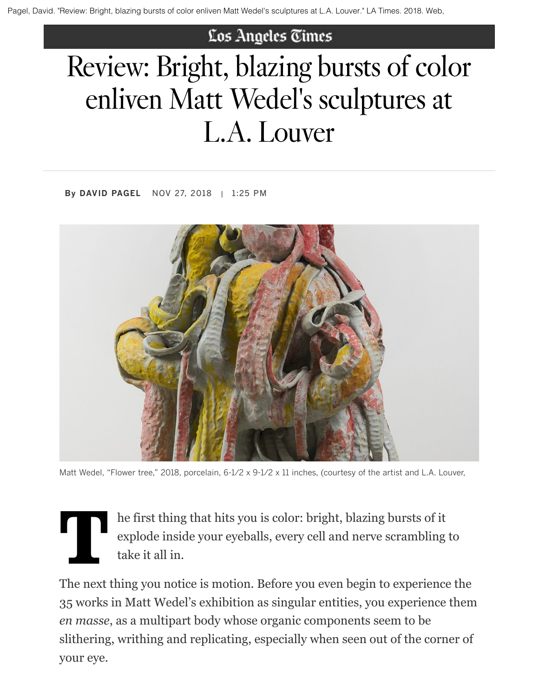## Los Angeles Times

## Review: Bright, blazing bursts of color enliven Matt Wedel's sculptures at L.A. Louver

By DAVID PAGEL NOV 27, 2018 | 1:25 PM



Matt Wedel, "Flower tree," 2018, porcelain, 6-1/2 x 9-1/2 x 11 inches, (courtesy of the artist and L.A. Louver,

he first thing that hits you is color: bright, blazing bursts of it explode inside your eyeballs, every cell and nerve scrambling to take it all in.

The next thing you notice is motion. Before you even begin to experience the 35 works in Matt Wedel's exhibition as singular entities, you experience them *en masse*, as a multipart body whose organic components seem to be slithering, writhing and replicating, especially when seen out of the corner of your eye.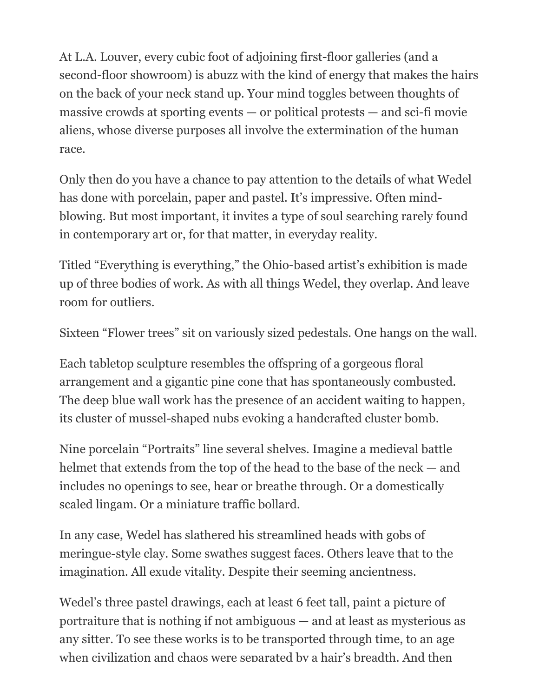At L.A. Louver, every cubic foot of adjoining first-floor galleries (and a second-floor showroom) is abuzz with the kind of energy that makes the hairs on the back of your neck stand up. Your mind toggles between thoughts of massive crowds at sporting events — or political protests — and sci-fi movie aliens, whose diverse purposes all involve the extermination of the human race.

Only then do you have a chance to pay attention to the details of what Wedel has done with porcelain, paper and pastel. It's impressive. Often mindblowing. But most important, it invites a type of soul searching rarely found in contemporary art or, for that matter, in everyday reality.

Titled "Everything is everything," the Ohio-based artist's exhibition is made up of three bodies of work. As with all things Wedel, they overlap. And leave room for outliers.

Sixteen "Flower trees" sit on variously sized pedestals. One hangs on the wall.

Each tabletop sculpture resembles the offspring of a gorgeous floral arrangement and a gigantic pine cone that has spontaneously combusted. The deep blue wall work has the presence of an accident waiting to happen, its cluster of mussel-shaped nubs evoking a handcrafted cluster bomb.

Nine porcelain "Portraits" line several shelves. Imagine a medieval battle helmet that extends from the top of the head to the base of the neck — and includes no openings to see, hear or breathe through. Or a domestically scaled lingam. Or a miniature traffic bollard.

In any case, Wedel has slathered his streamlined heads with gobs of meringue-style clay. Some swathes suggest faces. Others leave that to the imagination. All exude vitality. Despite their seeming ancientness.

Wedel's three pastel drawings, each at least 6 feet tall, paint a picture of portraiture that is nothing if not ambiguous — and at least as mysterious as any sitter. To see these works is to be transported through time, to an age when civilization and chaos were separated by a hair's breadth. And then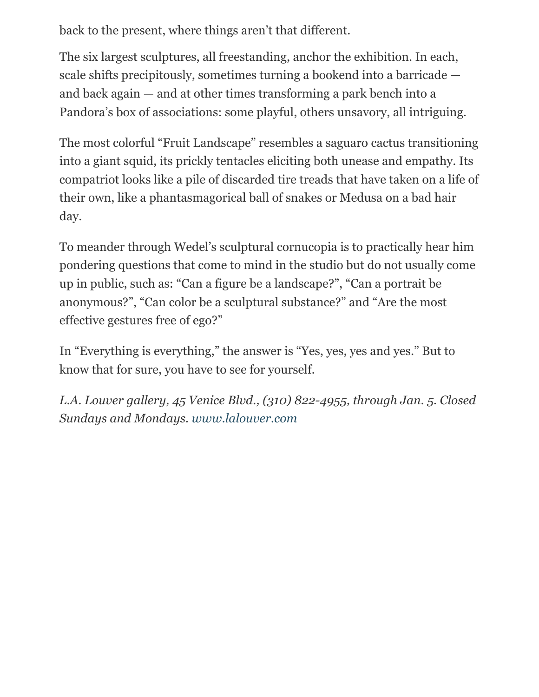back to the present, where things aren't that different.

The six largest sculptures, all freestanding, anchor the exhibition. In each, scale shifts precipitously, sometimes turning a bookend into a barricade and back again — and at other times transforming a park bench into a Pandora's box of associations: some playful, others unsavory, all intriguing.

The most colorful "Fruit Landscape" resembles a saguaro cactus transitioning into a giant squid, its prickly tentacles eliciting both unease and empathy. Its compatriot looks like a pile of discarded tire treads that have taken on a life of their own, like a phantasmagorical ball of snakes or Medusa on a bad hair day.

To meander through Wedel's sculptural cornucopia is to practically hear him pondering questions that come to mind in the studio but do not usually come up in public, such as: "Can a figure be a landscape?", "Can a portrait be anonymous?", "Can color be a sculptural substance?" and "Are the most effective gestures free of ego?"

In "Everything is everything," the answer is "Yes, yes, yes and yes." But to know that for sure, you have to see for yourself.

*L.A. Louver gallery, 45 Venice Blvd., (310) 822-4955, through Jan. 5. Closed Sundays and Mondays. [www.lalouver.com](http://www.lalouver.com/)*